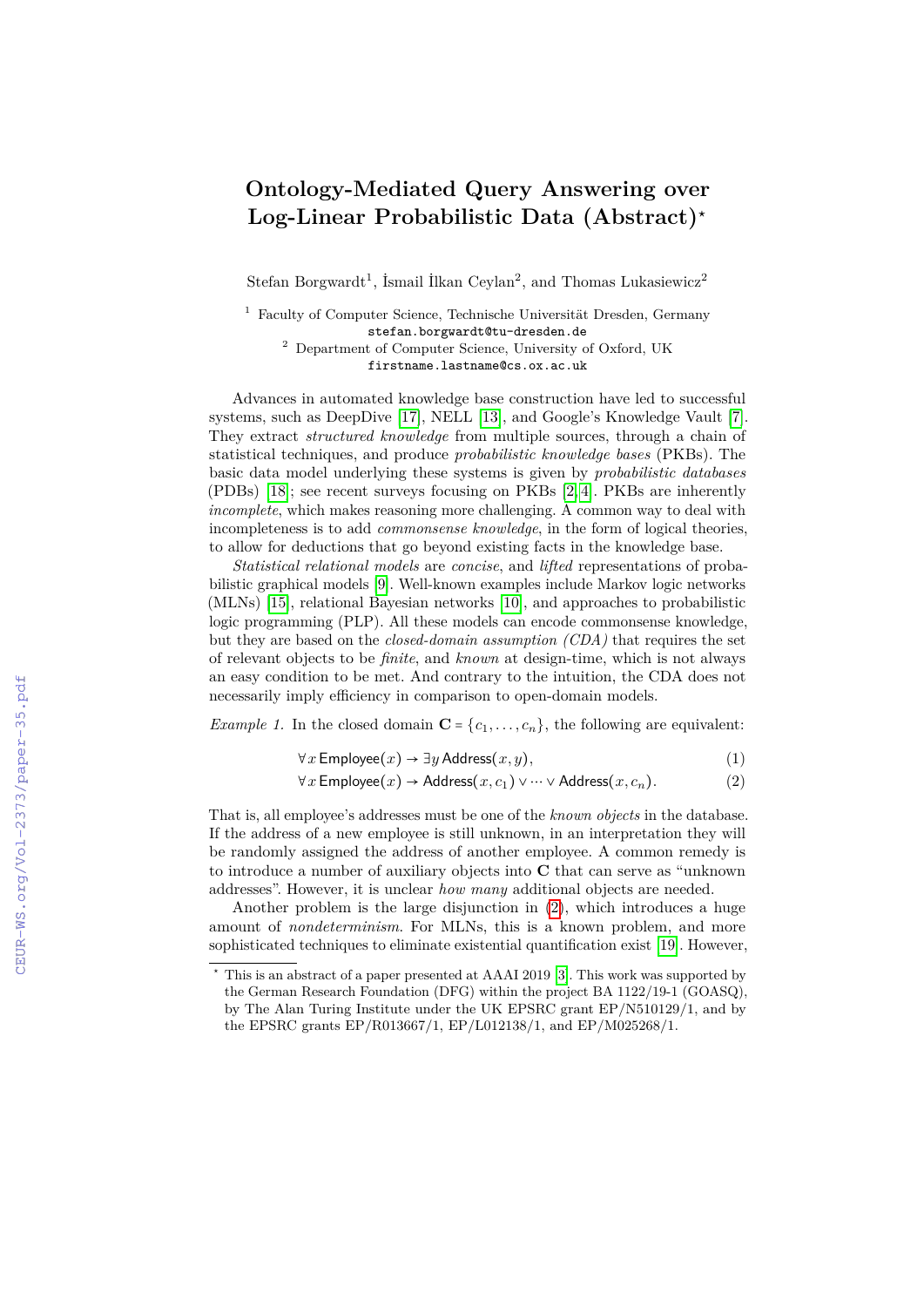## **Ontology-Mediated Query Answering over Log-Linear Probabilistic Data (Abstract)<sup>⋆</sup>**

Stefan Borgwardt<sup>1</sup>, İsmail İlkan Ceylan<sup>2</sup>, and Thomas Lukasiewicz<sup>2</sup>

<sup>1</sup> Faculty of Computer Science, Technische Universität Dresden, Germany stefan.borgwardt@tu-dresden.de <sup>2</sup> Department of Computer Science, University of Oxford, UK firstname.lastname@cs.ox.ac.uk

Advances in automated knowledge base construction have led to successful systems, such as DeepDive [\[17\]](#page--1-0), NELL [\[13\]](#page--1-1), and Google's Knowledge Vault [\[7\]](#page--1-2). They extract *structured knowledge* from multiple sources, through a chain of statistical techniques, and produce *probabilistic knowledge bases* (PKBs). The basic data model underlying these systems is given by *probabilistic databases* (PDBs) [\[18\]](#page--1-3); see recent surveys focusing on PKBs [\[2,](#page--1-4) [4\]](#page--1-5). PKBs are inherently *incomplete*, which makes reasoning more challenging. A common way to deal with incompleteness is to add *commonsense knowledge*, in the form of logical theories, to allow for deductions that go beyond existing facts in the knowledge base.

*Statistical relational models* are *concise*, and *lifted* representations of probabilistic graphical models [\[9\]](#page--1-6). Well-known examples include Markov logic networks (MLNs) [\[15\]](#page--1-7), relational Bayesian networks [\[10\]](#page--1-8), and approaches to probabilistic logic programming (PLP). All these models can encode commonsense knowledge, but they are based on the *closed-domain assumption (CDA)* that requires the set of relevant objects to be *finite*, and *known* at design-time, which is not always an easy condition to be met. And contrary to the intuition, the CDA does not necessarily imply efficiency in comparison to open-domain models.

*Example 1.* In the closed domain  $\mathbf{C} = \{c_1, \ldots, c_n\}$ , the following are equivalent:

<span id="page-0-0"></span>
$$
\forall x \, \text{Employee}(x) \to \exists y \, \text{Address}(x, y), \tag{1}
$$

$$
\forall x \, \text{Employee}(x) \to \text{Address}(x, c_1) \lor \dots \lor \text{Address}(x, c_n). \tag{2}
$$

That is, all employee's addresses must be one of the *known objects* in the database. If the address of a new employee is still unknown, in an interpretation they will be randomly assigned the address of another employee. A common remedy is to introduce a number of auxiliary objects into **C** that can serve as "unknown addresses". However, it is unclear *how many* additional objects are needed.

Another problem is the large disjunction in [\(2\)](#page-0-0), which introduces a huge amount of *nondeterminism*. For MLNs, this is a known problem, and more sophisticated techniques to eliminate existential quantification exist [\[19\]](#page--1-9). However,

This is an abstract of a paper presented at AAAI 2019 [\[3\]](#page--1-10). This work was supported by the German Research Foundation (DFG) within the project BA 1122/19-1 (GOASQ), by The Alan Turing Institute under the UK EPSRC grant EP/N510129/1, and by the EPSRC grants EP/R013667/1, EP/L012138/1, and EP/M025268/1.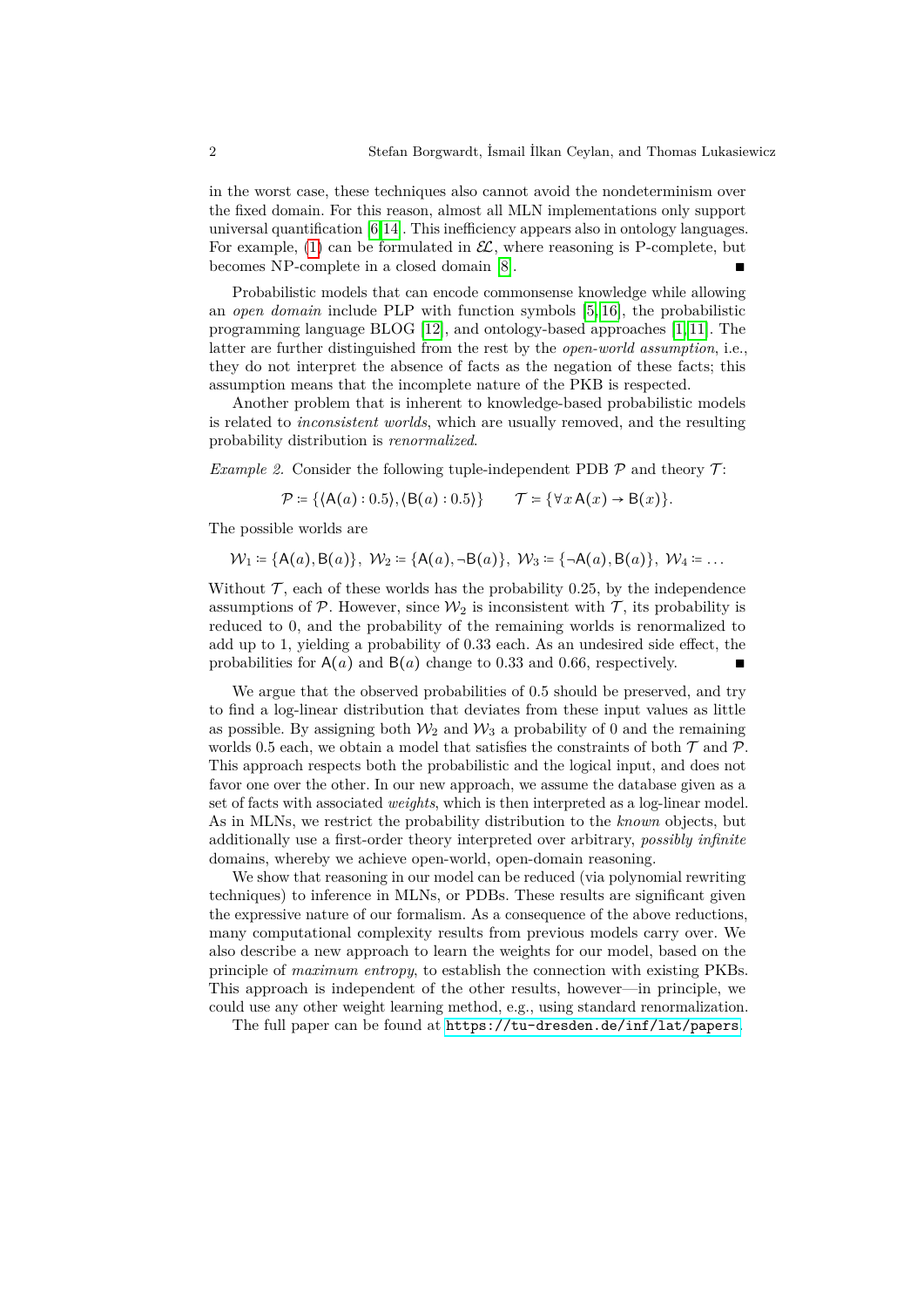in the worst case, these techniques also cannot avoid the nondeterminism over the fixed domain. For this reason, almost all MLN implementations only support universal quantification [\[6,](#page-2-0)[14\]](#page-2-1). This inefficiency appears also in ontology languages. For example, [\(1\)](#page--1-11) can be formulated in  $\mathcal{EL}$ , where reasoning is P-complete, but becomes NP-complete in a closed domain [\[8\]](#page-2-2).

Probabilistic models that can encode commonsense knowledge while allowing an *open domain* include PLP with function symbols [\[5,](#page-2-3) [16\]](#page-2-4), the probabilistic programming language BLOG [\[12\]](#page-2-5), and ontology-based approaches [\[1,](#page-2-6) [11\]](#page-2-7). The latter are further distinguished from the rest by the *open-world assumption*, i.e., they do not interpret the absence of facts as the negation of these facts; this assumption means that the incomplete nature of the PKB is respected.

Another problem that is inherent to knowledge-based probabilistic models is related to *inconsistent worlds*, which are usually removed, and the resulting probability distribution is *renormalized*.

*Example 2.* Consider the following tuple-independent PDB  $\mathcal P$  and theory  $\mathcal T$ :

$$
\mathcal{P} \coloneqq \{ \langle A(a): 0.5 \rangle, \langle B(a): 0.5 \rangle \} \qquad \mathcal{T} \coloneqq \{ \forall x \, A(x) \to B(x) \}.
$$

The possible worlds are

$$
\mathcal{W}_1 = \{A(a), B(a)\}, \ \mathcal{W}_2 = \{A(a), \neg B(a)\}, \ \mathcal{W}_3 = \{\neg A(a), B(a)\}, \ \mathcal{W}_4 = \dots
$$

Without  $\mathcal T$ , each of these worlds has the probability 0.25, by the independence assumptions of  $P$ . However, since  $\mathcal{W}_2$  is inconsistent with  $\mathcal{T}$ , its probability is reduced to 0, and the probability of the remaining worlds is renormalized to add up to 1, yielding a probability of 0*.*33 each. As an undesired side effect, the probabilities for  $A(a)$  and  $B(a)$  change to 0.33 and 0.66, respectively.

We argue that the observed probabilities of 0*.*5 should be preserved, and try to find a log-linear distribution that deviates from these input values as little as possible. By assigning both  $\mathcal{W}_2$  and  $\mathcal{W}_3$  a probability of 0 and the remaining worlds 0.5 each, we obtain a model that satisfies the constraints of both  $\mathcal T$  and  $\mathcal P$ . This approach respects both the probabilistic and the logical input, and does not favor one over the other. In our new approach, we assume the database given as a set of facts with associated *weights*, which is then interpreted as a log-linear model. As in MLNs, we restrict the probability distribution to the *known* objects, but additionally use a first-order theory interpreted over arbitrary, *possibly infinite* domains, whereby we achieve open-world, open-domain reasoning.

We show that reasoning in our model can be reduced (via polynomial rewriting techniques) to inference in MLNs, or PDBs. These results are significant given the expressive nature of our formalism. As a consequence of the above reductions, many computational complexity results from previous models carry over. We also describe a new approach to learn the weights for our model, based on the principle of *maximum entropy*, to establish the connection with existing PKBs. This approach is independent of the other results, however—in principle, we could use any other weight learning method, e.g., using standard renormalization.

The full paper can be found at <https://tu-dresden.de/inf/lat/papers>.